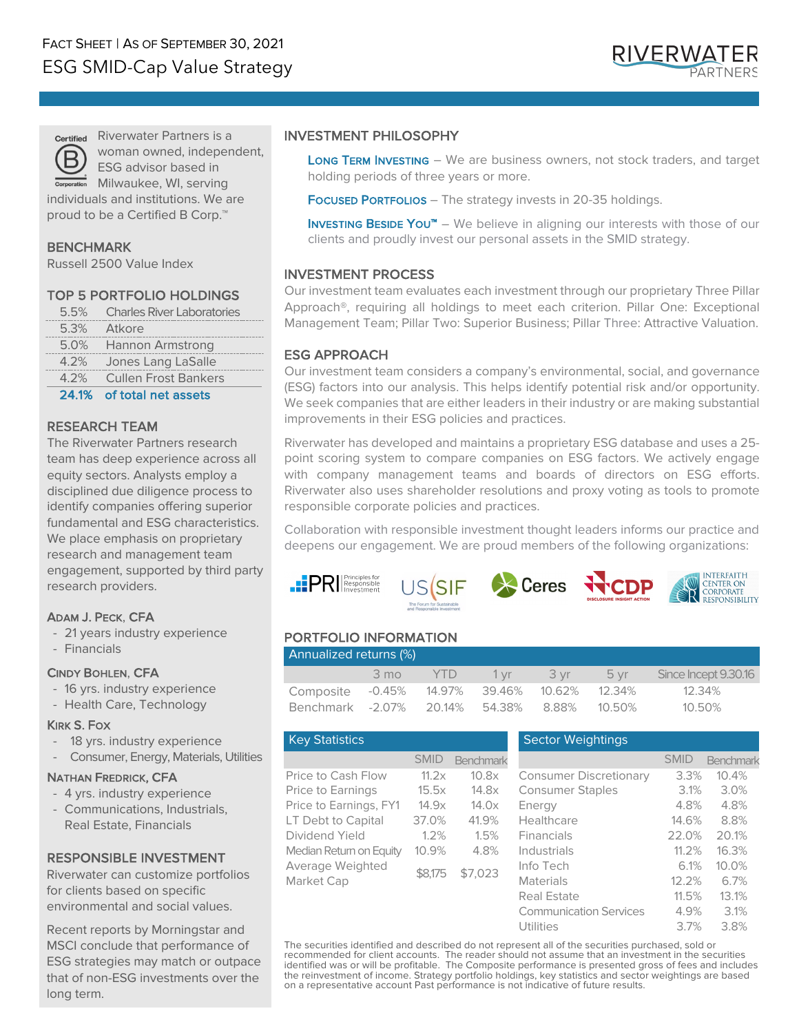

Riverwater Partners is a woman owned, independent, ESG advisor based in Milwaukee, WI, serving

individuals and institutions. We are proud to be a Certified B Corp.<sup>™</sup>

# BENCHMARK

Russell 2500 Value Index

# TOP 5 PORTFOLIO HOLDINGS

|         | 5.5% Charles River Laboratories |  |
|---------|---------------------------------|--|
|         | 5.3% Atkore                     |  |
|         | 5.0% Hannon Armstrong           |  |
| $4.2\%$ | Jones Lang LaSalle              |  |
|         | 4.2% Cullen Frost Bankers       |  |
|         |                                 |  |

24.1% of total net assets

#### RESEARCH TEAM

The Riverwater Partners research team has deep experience across all equity sectors. Analysts employ a disciplined due diligence process to identify companies offering superior fundamental and ESG characteristics. We place emphasis on proprietary research and management team engagement, supported by third party research providers.

# ADAM J. PECK, CFA

- 21 years industry experience
- Financials

#### CINDY BOHLEN, CFA

- 16 yrs. industry experience
- Health Care, Technology

#### KIRK S. FOX

- 18 yrs. industry experience
- Consumer, Energy, Materials, Utilities

#### NATHAN FREDRICK, CFA

- 4 yrs. industry experience
- Communications, Industrials, Real Estate, Financials

# RESPONSIBLE INVESTMENT

Riverwater can customize portfolios for clients based on specific environmental and social values.

Recent reports by Morningstar and MSCI conclude that performance of ESG strategies may match or outpace that of non-ESG investments over the long term.

# INVESTMENT PHILOSOPHY

LONG TERM INVESTING - We are business owners, not stock traders, and target holding periods of three years or more.

FOCUSED PORTFOLIOS - The strategy invests in 20-35 holdings.

**INVESTING BESIDE YOU™** – We believe in aligning our interests with those of our clients and proudly invest our personal assets in the SMID strategy.

# INVESTMENT PROCESS

Our investment team evaluates each investment through our proprietary Three Pillar Approach®, requiring all holdings to meet each criterion. Pillar One: Exceptional Management Team; Pillar Two: Superior Business; Pillar Three: Attractive Valuation.

# ESG APPROACH

 $\ddot{\phantom{a}}$ 

Our investment team considers a company's environmental, social, and governance (ESG) factors into our analysis. This helps identify potential risk and/or opportunity. We seek companies that are either leaders in their industry or are making substantial improvements in their ESG policies and practices.

Riverwater has developed and maintains a proprietary ESG database and uses a 25 point scoring system to compare companies on ESG factors. We actively engage with company management teams and boards of directors on ESG efforts. Riverwater also uses shareholder resolutions and proxy voting as tools to promote responsible corporate policies and practices.

Collaboration with responsible investment thought leaders informs our practice and deepens our engagement. We are proud members of the following organizations:



# PORTFOLIO INFORMATION

| Annualized returns (%)                |                |         |     |  |           |                      |  |  |  |
|---------------------------------------|----------------|---------|-----|--|-----------|----------------------|--|--|--|
|                                       | $3 \text{ mo}$ | $-$ YTD | 1vr |  | 3 vr 5 vr | Since Incept 9.30.16 |  |  |  |
| Composite -0.45% 14.97% 39.46% 10.62% |                |         |     |  | 12.34%    | 12.34%               |  |  |  |
| Benchmark -2.07% 20.14% 54.38% 8.88%  |                |         |     |  | - 10.50%  | 10.50%               |  |  |  |

| <b>Key Statistics</b>          |             |           |
|--------------------------------|-------------|-----------|
|                                | <b>SMID</b> | Benchmark |
| Price to Cash Flow             | 11.2x       | 10.8x     |
| <b>Price to Earnings</b>       | 15.5x       | 14.8x     |
| Price to Earnings, FY1         | 14.9x       | 14.0x     |
| LT Debt to Capital             | 37.0%       | 41.9%     |
| Dividend Yield                 | 1.2%        | 1.5%      |
| Median Return on Equity        | 10.9%       | 4.8%      |
| Average Weighted<br>Market Cap | \$8.175     | \$7.023   |
|                                |             |           |
|                                |             |           |

#### **Sector Weightings**

|       | Benchmark              |                               |      | Benchmark                                                                                           |
|-------|------------------------|-------------------------------|------|-----------------------------------------------------------------------------------------------------|
| 11.2x | 10.8x                  | <b>Consumer Discretionary</b> |      | 10.4%                                                                                               |
| 15.5x | 14.8x                  | <b>Consumer Staples</b>       |      | 3.0%                                                                                                |
| 14.9x | 14.0x                  | Energy                        |      | 4.8%                                                                                                |
| 37.0% | 41.9%                  | Healthcare                    |      | 8.8%                                                                                                |
| 1.2%  | 1.5%                   | <b>Financials</b>             |      | 20.1%                                                                                               |
| 10.9% | 4.8%                   | <b>Industrials</b>            |      | 16.3%                                                                                               |
|       | \$7,023                | Info Tech                     |      | 10.0%                                                                                               |
|       |                        | <b>Materials</b>              |      | 6.7%                                                                                                |
|       |                        | Real Estate                   |      | 13.1%                                                                                               |
|       |                        | <b>Communication Services</b> |      | 3.1%                                                                                                |
|       |                        | Utilities                     | 3.7% | 3.8%                                                                                                |
|       | <b>SMID</b><br>\$8.175 |                               |      | <b>SMID</b><br>3.3%<br>3.1%<br>4.8%<br>14.6%<br>22.0%<br>$11.2\%$<br>6.1%<br>12.2%<br>11.5%<br>4.9% |

**CENTER ON** Corporate<br>Corporate<br>RESPONSIBILITY

The securities identified and described do not represent all of the securities purchased, sold or recommended for client accounts. The reader should not assume that an investment in the securities identified was or will be profitable. The Composite performance is presented gross of fees and includes the reinvestment of income. Strategy portfolio holdings, key statistics and sector weightings are based on a representative account Past performance is not indicative of future results.